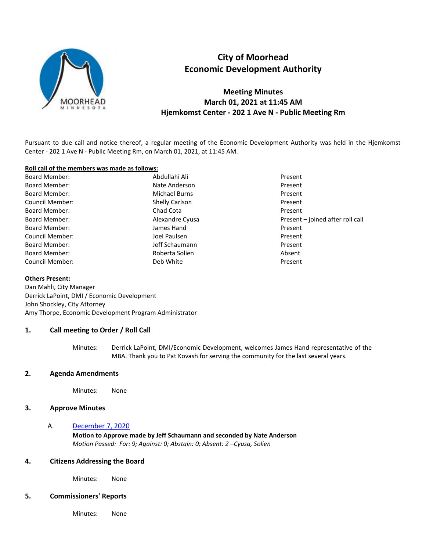

# **City of Moorhead Economic Development Authority**

**Meeting Minutes March 01, 2021 at 11:45 AM Hjemkomst Center - 202 1 Ave N - Public Meeting Rm** 

Pursuant to due call and notice thereof, a regular meeting of the Economic Development Authority was held in the Hjemkomst Center - 202 1 Ave N - Public Meeting Rm, on March 01, 2021, at 11:45 AM.

#### **Roll call of the members was made as follows:**

Board Member: New York Abdullahi Ali Present Present Board Member: Nate Anderson Present Board Member: Michael Burns Present Council Member: Shelly Carlson Present Board Member: The Chad Cota Cota Present Board Member: Alexandre Cyusa Present – joined after roll call Board Member: James Hand Present Council Member: Joel Paulsen Present Board Member: The Schaumann Present of the Schaumann Present Present Board Member: New York Hotel Roberta Solien Absent Absent Council Member: The Council Member: The Council Member: The Present

#### **Others Present:**

Dan Mahli, City Manager Derrick LaPoint, DMI / Economic Development John Shockley, City Attorney Amy Thorpe, Economic Development Program Administrator

#### **1. Call meeting to Order / Roll Call**

Minutes: Derrick LaPoint, DMI/Economic Development, welcomes James Hand representative of the MBA. Thank you to Pat Kovash for serving the community for the last several years.

### **2. Agenda Amendments**

Minutes: None

### **3. Approve Minutes**

#### A. December 7, 2020

**Motion to Approve made by Jeff Schaumann and seconded by Nate Anderson**  *Motion Passed: For: 9; Against: 0; Abstain: 0; Absent: 2 –Cyusa, Solien* 

#### **4. Citizens Addressing the Board**

Minutes: None

#### **5. Commissioners' Reports**

Minutes: None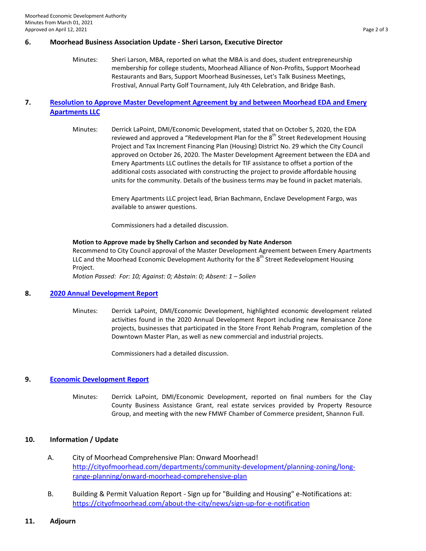#### **6. Moorhead Business Association Update - Sheri Larson, Executive Director**

Minutes: Sheri Larson, MBA, reported on what the MBA is and does, student entrepreneurship membership for college students, Moorhead Alliance of Non-Profits, Support Moorhead Restaurants and Bars, Support Moorhead Businesses, Let's Talk Business Meetings, Frostival, Annual Party Golf Tournament, July 4th Celebration, and Bridge Bash.

## **7. Resolution to Approve Master Development Agreement by and between Moorhead EDA and Emery Apartments LLC**

Minutes: Derrick LaPoint, DMI/Economic Development, stated that on October 5, 2020, the EDA reviewed and approved a "Redevelopment Plan for the  $8<sup>th</sup>$  Street Redevelopment Housing Project and Tax Increment Financing Plan (Housing) District No. 29 which the City Council approved on October 26, 2020. The Master Development Agreement between the EDA and Emery Apartments LLC outlines the details for TIF assistance to offset a portion of the additional costs associated with constructing the project to provide affordable housing units for the community. Details of the business terms may be found in packet materials.

> Emery Apartments LLC project lead, Brian Bachmann, Enclave Development Fargo, was available to answer questions.

Commissioners had a detailed discussion.

#### **Motion to Approve made by Shelly Carlson and seconded by Nate Anderson**

Recommend to City Council approval of the Master Development Agreement between Emery Apartments LLC and the Moorhead Economic Development Authority for the 8<sup>th</sup> Street Redevelopment Housing Project.

*Motion Passed: For: 10; Against: 0; Abstain: 0; Absent: 1 – Solien* 

#### **8. 2020 Annual Development Report**

Minutes: Derrick LaPoint, DMI/Economic Development, highlighted economic development related activities found in the 2020 Annual Development Report including new Renaissance Zone projects, businesses that participated in the Store Front Rehab Program, completion of the Downtown Master Plan, as well as new commercial and industrial projects.

Commissioners had a detailed discussion.

#### **9. Economic Development Report**

Minutes: Derrick LaPoint, DMI/Economic Development, reported on final numbers for the Clay County Business Assistance Grant, real estate services provided by Property Resource Group, and meeting with the new FMWF Chamber of Commerce president, Shannon Full.

## **10. Information / Update**

- A. City of Moorhead Comprehensive Plan: Onward Moorhead! [http://cityofmoorhead.com/departments/community-development/planning-zoning/long](http://cityofmoorhead.com/departments/community-development/planning-zoning/long-range-planning/onward-moorhead-comprehensive-plan)[range-planning/onward-moorhead-comprehensive-plan](http://cityofmoorhead.com/departments/community-development/planning-zoning/long-range-planning/onward-moorhead-comprehensive-plan)
- B. Building & Permit Valuation Report Sign up for "Building and Housing" e-Notifications at: <https://cityofmoorhead.com/about-the-city/news/sign-up-for-e-notification>
- **11. Adjourn**